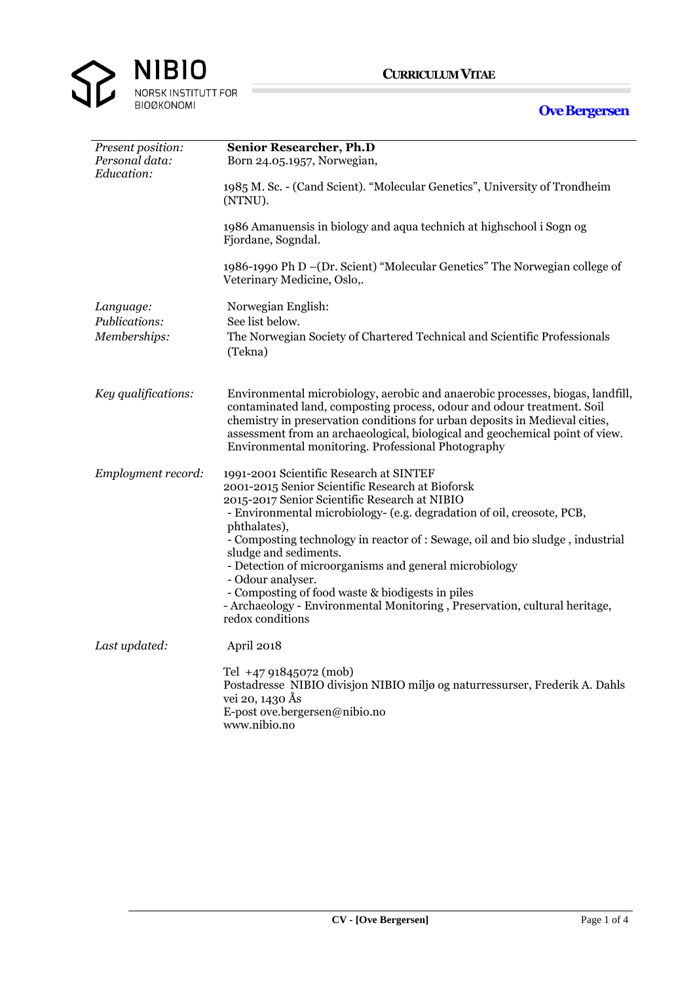

**Ove Bergersen**

## *Present position:* **Senior Researcher, Ph.D**<br>*Personal data:* **Born 24.05.1957, Norwegian** *Personal data:* Born 24.05.1957, Norwegian, *Education:* 1985 M. Sc. - (Cand Scient). "Molecular Genetics", University of Trondheim (NTNU). 1986 1986 Amanuensis in biology and aqua technich at highschool i Sogn og Fjordane, Sogndal. 1986-1990 1986-1990 Ph D –(Dr. Scient) "Molecular Genetics" The Norwegian college of Veterinary Medicine, Oslo,. *Language:* Norwegian English: *Publications:* See list below. *Memberships:* The Norwegian Society of Chartered Technical and Scientific Professionals (Tekna) *Key qualifications:* Environmental microbiology, aerobic and anaerobic processes, biogas, landfill, contaminated land, composting process, odour and odour treatment. Soil chemistry in preservation conditions for urban deposits in Medieval cities, assessment from an archaeological, biological and geochemical point of view. Environmental monitoring. Professional Photography *Employment record:* 1991-2001 Scientific Research at SINTEF 2001-2015 Senior Scientific Research at Bioforsk 2015-2017 Senior Scientific Research at NIBIO - Environmental microbiology- (e.g. degradation of oil, creosote, PCB, phthalates), - Composting technology in reactor of : Sewage, oil and bio sludge , industrial sludge and sediments. - Detection of microorganisms and general microbiology - Odour analyser. - Composting of food waste & biodigests in piles - Archaeology - Environmental Monitoring , Preservation, cultural heritage, redox conditions *Last updated:* April 2018 Tel +47 91845072 (mob) Postadresse NIBIO divisjon NIBIO miljø og naturressurser, Frederik A. Dahls vei 20, 1430 Ås E-post ove.bergersen@nibio.no www.nibio.no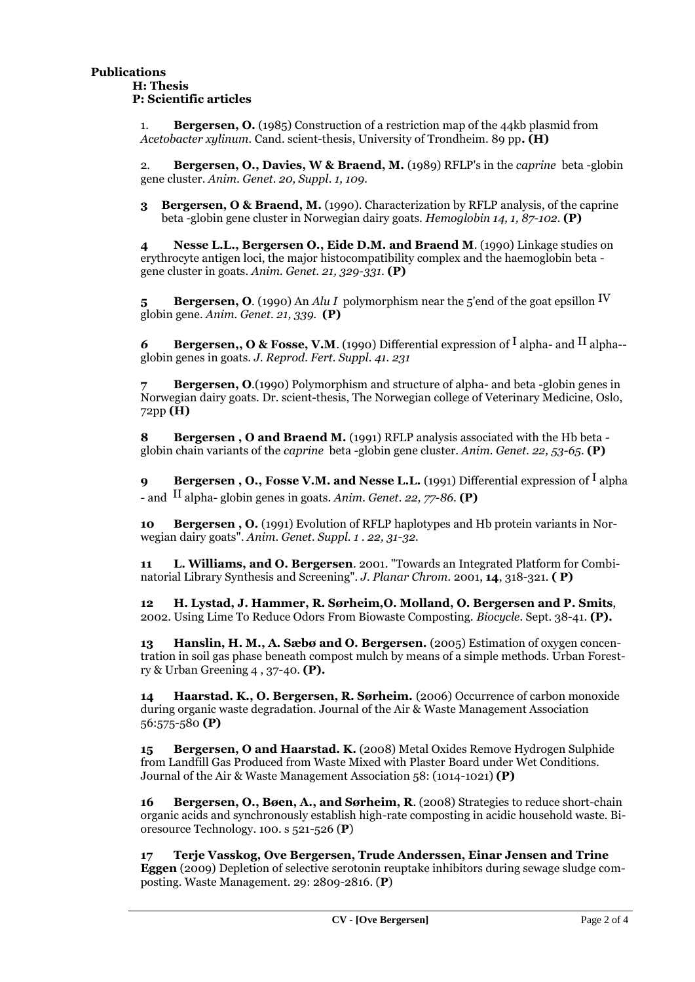1. **Bergersen, O.** (1985) Construction of a restriction map of the 44kb plasmid from *Acetobacter xylinum.* Cand. scient-thesis, University of Trondheim. 89 pp**. (H)**

2. **Bergersen, O., Davies, W & Braend, M.** (1989) RFLP's in the *caprine* beta -globin gene cluster. *Anim. Genet. 20, Suppl. 1, 109.*

**3 Bergersen, O & Braend, M.** (1990). Characterization by RFLP analysis, of the caprine beta -globin gene cluster in Norwegian dairy goats. *Hemoglobin 14, 1, 87-102.* **(P)**

**4 Nesse L.L., Bergersen O., Eide D.M. and Braend M**. (1990) Linkage studies on erythrocyte antigen loci, the major histocompatibility complex and the haemoglobin beta gene cluster in goats. *Anim. Genet. 21, 329-331.* **(P)**

**5 Bergersen, O**. (1990) An *Alu I* polymorphism near the 5'end of the goat epsillon IV globin gene. *Anim. Genet. 21, 339.* **(P)**

*6* **Bergersen,, O & Fosse, V.M**. (1990) Differential expression of I alpha- and II alpha- globin genes in goats. *J. Reprod. Fert. Suppl. 41. 231*

**7 Bergersen, O**.(1990) Polymorphism and structure of alpha- and beta -globin genes in Norwegian dairy goats. Dr. scient-thesis, The Norwegian college of Veterinary Medicine, Oslo, 72pp **(H)**

**8 Bergersen , O and Braend M.** (1991) RFLP analysis associated with the Hb beta globin chain variants of the *caprine* beta -globin gene cluster. *Anim. Genet. 22, 53-65*. **(P)**

**9 Bergersen**, **O.**, Fosse V.M. and Nesse L.L. (1991) Differential expression of <sup>I</sup> alpha - and II alpha- globin genes in goats. *Anim. Genet. 22, 77-86*. **(P)**

**10 Bergersen , O.** (1991) Evolution of RFLP haplotypes and Hb protein variants in Norwegian dairy goats". *Anim. Genet. Suppl. 1 . 22, 31-32.*

**11 L. Williams, and O. Bergersen**. 2001. "Towards an Integrated Platform for Combinatorial Library Synthesis and Screening". *J. Planar Chrom.* 2001, **14**, 318-321. **( P)**

**12 H. Lystad, J. Hammer, R. Sørheim,O. Molland, O. Bergersen and P. Smits**, 2002. Using Lime To Reduce Odors From Biowaste Composting. *Biocycle.* Sept. 38-41. **(P).**

**13 Hanslin, H. M., A. Sæbø and O. Bergersen.** (2005) Estimation of oxygen concentration in soil gas phase beneath compost mulch by means of a simple methods. Urban Forestry & Urban Greening 4 , 37-40. **(P).**

**14 Haarstad. K., O. Bergersen, R. Sørheim.** (2006) Occurrence of carbon monoxide during organic waste degradation. Journal of the Air & Waste Management Association 56:575-580 **(P)**

**15 Bergersen, O and Haarstad. K.** (2008) Metal Oxides Remove Hydrogen Sulphide from Landfill Gas Produced from Waste Mixed with Plaster Board under Wet Conditions. Journal of the Air & Waste Management Association 58: (1014-1021) **(P)**

**16 Bergersen, O., Bøen, A., and Sørheim, R**. (2008) Strategies to reduce short-chain organic acids and synchronously establish high-rate composting in acidic household waste. Bioresource Technology. 100. s 521-526 (**P**)

**17 Terje Vasskog, Ove Bergersen, Trude Anderssen, Einar Jensen and Trine Eggen** (2009) Depletion of selective serotonin reuptake inhibitors during sewage sludge composting. Waste Management. 29: 2809-2816. (**P**)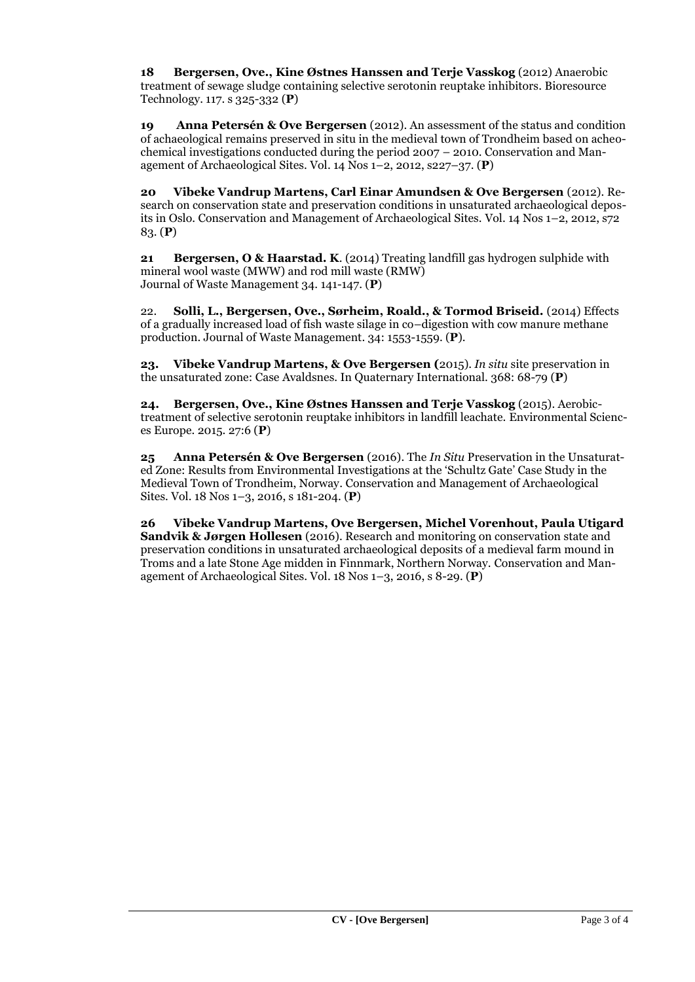**18 Bergersen, Ove., Kine Østnes Hanssen and Terje Vasskog** (2012) Anaerobic treatment of sewage sludge containing selective serotonin reuptake inhibitors. Bioresource Technology. 117. s 325-332 (**P**)

**19 Anna Petersén & Ove Bergersen** (2012). An assessment of the status and condition of achaeological remains preserved in situ in the medieval town of Trondheim based on acheochemical investigations conducted during the period 2007 – 2010. Conservation and Management of Archaeological Sites. Vol. 14 Nos 1–2, 2012, s227–37. (**P**)

**20 Vibeke Vandrup Martens, Carl Einar Amundsen & Ove Bergersen** (2012). Research on conservation state and preservation conditions in unsaturated archaeological deposits in Oslo. Conservation and Management of Archaeological Sites. Vol. 14 Nos 1–2, 2012, s72 83. (**P**)

**21 Bergersen, O & Haarstad. K**. (2014) Treating landfill gas hydrogen sulphide with mineral wool waste (MWW) and rod mill waste (RMW) Journal of Waste Management 34. 141-147. (**P**)

22. **Solli, L., Bergersen, Ove., Sørheim, Roald., & Tormod Briseid.** (2014) Effects of a gradually increased load of fish waste silage in co–digestion with cow manure methane production. Journal of Waste Management. 34: 1553-1559. (**P**).

**23. Vibeke Vandrup Martens, & Ove Bergersen (**2015). *In situ* site preservation in the unsaturated zone: Case Avaldsnes. In Quaternary International. 368: 68-79 (**P**)

**24. Bergersen, Ove., Kine Østnes Hanssen and Terje Vasskog** (2015). Aerobictreatment of selective serotonin reuptake inhibitors in landfill leachate. Environmental Sciences Europe. 2015. 27:6 (**P**)

**25 Anna Petersén & Ove Bergersen** (2016). The *In Situ* Preservation in the Unsaturated Zone: Results from Environmental Investigations at the 'Schultz Gate' Case Study in the Medieval Town of Trondheim, Norway. Conservation and Management of Archaeological Sites. Vol. 18 Nos 1–3, 2016, s 181-204. (**P**)

**26 Vibeke Vandrup Martens, Ove Bergersen, Michel Vorenhout, Paula Utigard Sandvik & Jørgen Hollesen** (2016). Research and monitoring on conservation state and preservation conditions in unsaturated archaeological deposits of a medieval farm mound in Troms and a late Stone Age midden in Finnmark, Northern Norway. Conservation and Management of Archaeological Sites. Vol. 18 Nos 1–3, 2016, s 8-29. (**P**)